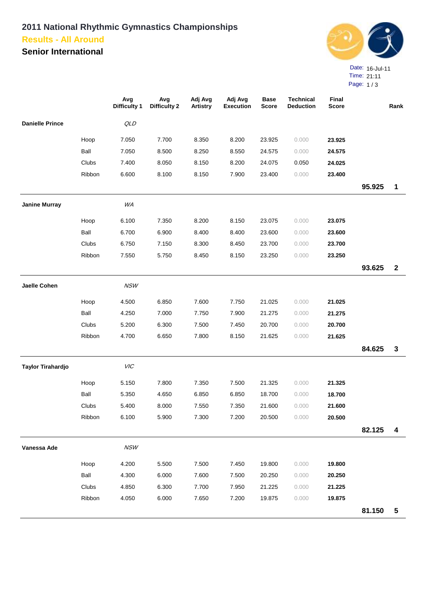## **2011 National Rhythmic Gymnastics Championships Results - All Around**

**Senior International**



Page: 1 / 3

|                        |        | Avg<br><b>Difficulty 1</b> | Avg<br><b>Difficulty 2</b> | Adj Avg<br><b>Artistry</b> | Adj Avg<br><b>Execution</b> | <b>Base</b><br><b>Score</b> | <b>Technical</b><br><b>Deduction</b> | Final<br><b>Score</b> |        | Rank                    |
|------------------------|--------|----------------------------|----------------------------|----------------------------|-----------------------------|-----------------------------|--------------------------------------|-----------------------|--------|-------------------------|
| <b>Danielle Prince</b> |        | QLD                        |                            |                            |                             |                             |                                      |                       |        |                         |
|                        | Hoop   | 7.050                      | 7.700                      | 8.350                      | 8.200                       | 23.925                      | 0.000                                | 23.925                |        |                         |
|                        | Ball   | 7.050                      | 8.500                      | 8.250                      | 8.550                       | 24.575                      | 0.000                                | 24.575                |        |                         |
|                        | Clubs  | 7.400                      | 8.050                      | 8.150                      | 8.200                       | 24.075                      | 0.050                                | 24.025                |        |                         |
|                        | Ribbon | 6.600                      | 8.100                      | 8.150                      | 7.900                       | 23.400                      | 0.000                                | 23.400                |        |                         |
|                        |        |                            |                            |                            |                             |                             |                                      |                       | 95.925 | 1                       |
| <b>Janine Murray</b>   |        | WA                         |                            |                            |                             |                             |                                      |                       |        |                         |
|                        | Hoop   | 6.100                      | 7.350                      | 8.200                      | 8.150                       | 23.075                      | 0.000                                | 23.075                |        |                         |
|                        | Ball   | 6.700                      | 6.900                      | 8.400                      | 8.400                       | 23.600                      | 0.000                                | 23.600                |        |                         |
|                        | Clubs  | 6.750                      | 7.150                      | 8.300                      | 8.450                       | 23.700                      | 0.000                                | 23.700                |        |                         |
|                        | Ribbon | 7.550                      | 5.750                      | 8.450                      | 8.150                       | 23.250                      | 0.000                                | 23.250                |        |                         |
|                        |        |                            |                            |                            |                             |                             |                                      |                       | 93.625 | $\mathbf{2}$            |
| <b>Jaelle Cohen</b>    |        | NSW                        |                            |                            |                             |                             |                                      |                       |        |                         |
|                        | Hoop   | 4.500                      | 6.850                      | 7.600                      | 7.750                       | 21.025                      | 0.000                                | 21.025                |        |                         |
|                        | Ball   | 4.250                      | 7.000                      | 7.750                      | 7.900                       | 21.275                      | 0.000                                | 21.275                |        |                         |
|                        | Clubs  | 5.200                      | 6.300                      | 7.500                      | 7.450                       | 20.700                      | 0.000                                | 20.700                |        |                         |
|                        | Ribbon | 4.700                      | 6.650                      | 7.800                      | 8.150                       | 21.625                      | 0.000                                | 21.625                |        |                         |
|                        |        |                            |                            |                            |                             |                             |                                      |                       | 84.625 | $\mathbf{3}$            |
| Taylor Tirahardjo      |        | VIC                        |                            |                            |                             |                             |                                      |                       |        |                         |
|                        | Hoop   | 5.150                      | 7.800                      | 7.350                      | 7.500                       | 21.325                      | 0.000                                | 21.325                |        |                         |
|                        | Ball   | 5.350                      | 4.650                      | 6.850                      | 6.850                       | 18.700                      | 0.000                                | 18.700                |        |                         |
|                        | Clubs  | 5.400                      | 8.000                      | 7.550                      | 7.350                       | 21.600                      | 0.000                                | 21.600                |        |                         |
|                        | Ribbon | 6.100                      | 5.900                      | 7.300                      | 7.200                       | 20.500                      | 0.000                                | 20.500                |        |                         |
|                        |        |                            |                            |                            |                             |                             |                                      |                       | 82.125 | $\boldsymbol{4}$        |
| Vanessa Ade            |        | <b>NSW</b>                 |                            |                            |                             |                             |                                      |                       |        |                         |
|                        | Hoop   | 4.200                      | 5.500                      | 7.500                      | 7.450                       | 19.800                      | 0.000                                | 19.800                |        |                         |
|                        | Ball   | 4.300                      | 6.000                      | 7.600                      | 7.500                       | 20.250                      | 0.000                                | 20.250                |        |                         |
|                        | Clubs  | 4.850                      | 6.300                      | 7.700                      | 7.950                       | 21.225                      | 0.000                                | 21.225                |        |                         |
|                        | Ribbon | 4.050                      | 6.000                      | 7.650                      | 7.200                       | 19.875                      | 0.000                                | 19.875                |        |                         |
|                        |        |                            |                            |                            |                             |                             |                                      |                       | 81.150 | $\overline{\mathbf{5}}$ |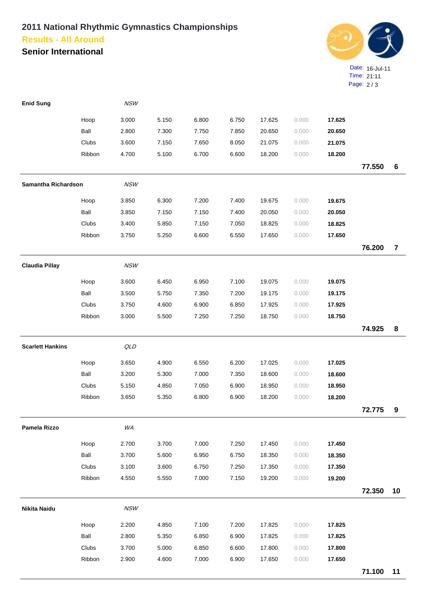## **2011 National Rhythmic Gymnastics Championships Results - All Around**

**Senior International**



| <b>Enid Sung</b>        |        | <b>NSW</b> |       |       |       |        |       |        |        |                |
|-------------------------|--------|------------|-------|-------|-------|--------|-------|--------|--------|----------------|
|                         | Hoop   | 3.000      | 5.150 | 6.800 | 6.750 | 17.625 | 0.000 | 17.625 |        |                |
|                         | Ball   | 2.800      | 7.300 | 7.750 | 7.850 | 20.650 | 0.000 | 20.650 |        |                |
|                         | Clubs  | 3.600      | 7.150 | 7.650 | 8.050 | 21.075 | 0.000 | 21.075 |        |                |
|                         | Ribbon | 4.700      | 5.100 | 6.700 | 6.600 | 18.200 | 0.000 | 18.200 |        |                |
|                         |        |            |       |       |       |        |       |        | 77.550 | $\bf 6$        |
| Samantha Richardson     |        | <b>NSW</b> |       |       |       |        |       |        |        |                |
|                         | Hoop   | 3.850      | 6.300 | 7.200 | 7.400 | 19.675 | 0.000 | 19.675 |        |                |
|                         | Ball   | 3.850      | 7.150 | 7.150 | 7.400 | 20.050 | 0.000 | 20.050 |        |                |
|                         | Clubs  | 3.400      | 5.850 | 7.150 | 7.050 | 18.825 | 0.000 | 18.825 |        |                |
|                         | Ribbon | 3.750      | 5.250 | 6.600 | 6.550 | 17.650 | 0.000 | 17.650 |        |                |
|                         |        |            |       |       |       |        |       |        | 76.200 | $\overline{7}$ |
| <b>Claudia Pillay</b>   |        | NSW        |       |       |       |        |       |        |        |                |
|                         | Hoop   | 3.600      | 6.450 | 6.950 | 7.100 | 19.075 | 0.000 | 19.075 |        |                |
|                         | Ball   | 3.500      | 5.750 | 7.350 | 7.200 | 19.175 | 0.000 | 19.175 |        |                |
|                         | Clubs  | 3.750      | 4.600 | 6.900 | 6.850 | 17.925 | 0.000 | 17.925 |        |                |
|                         | Ribbon | 3.000      | 5.500 | 7.250 | 7.250 | 18.750 | 0.000 | 18.750 |        |                |
|                         |        |            |       |       |       |        |       |        | 74.925 | 8              |
| <b>Scarlett Hankins</b> |        | QLD        |       |       |       |        |       |        |        |                |
|                         | Hoop   | 3.650      | 4.900 | 6.550 | 6.200 | 17.025 | 0.000 | 17.025 |        |                |
|                         | Ball   | 3.200      | 5.300 | 7.000 | 7.350 | 18.600 | 0.000 | 18.600 |        |                |
|                         | Clubs  | 5.150      | 4.850 | 7.050 | 6.900 | 18.950 | 0.000 | 18.950 |        |                |
|                         | Ribbon | 3.650      | 5.350 | 6.800 | 6.900 | 18.200 | 0.000 | 18.200 |        |                |
|                         |        |            |       |       |       |        |       |        | 72.775 | 9              |
| Pamela Rizzo            |        | WA         |       |       |       |        |       |        |        |                |
|                         | Hoop   | 2.700      | 3.700 | 7.000 | 7.250 | 17.450 | 0.000 | 17.450 |        |                |
|                         | Ball   | 3.700      | 5.600 | 6.950 | 6.750 | 18.350 | 0.000 | 18.350 |        |                |
|                         | Clubs  | 3.100      | 3.600 | 6.750 | 7.250 | 17.350 | 0.000 | 17.350 |        |                |
|                         | Ribbon | 4.550      | 5.550 | 7.000 | 7.150 | 19.200 | 0.000 | 19.200 |        |                |
|                         |        |            |       |       |       |        |       |        | 72.350 | 10             |
| Nikita Naidu            |        | <b>NSW</b> |       |       |       |        |       |        |        |                |
|                         | Hoop   | 2.200      | 4.850 | 7.100 | 7.200 | 17.825 | 0.000 | 17.825 |        |                |
|                         | Ball   | 2.800      | 5.350 | 6.850 | 6.900 | 17.825 | 0.000 | 17.825 |        |                |
|                         | Clubs  | 3.700      | 5.000 | 6.850 | 6.600 | 17.800 | 0.000 | 17.800 |        |                |
|                         | Ribbon | 2.900      | 4.600 | 7.000 | 6.900 | 17.650 | 0.000 | 17.650 |        |                |
|                         |        |            |       |       |       |        |       |        | 71.100 | 11             |